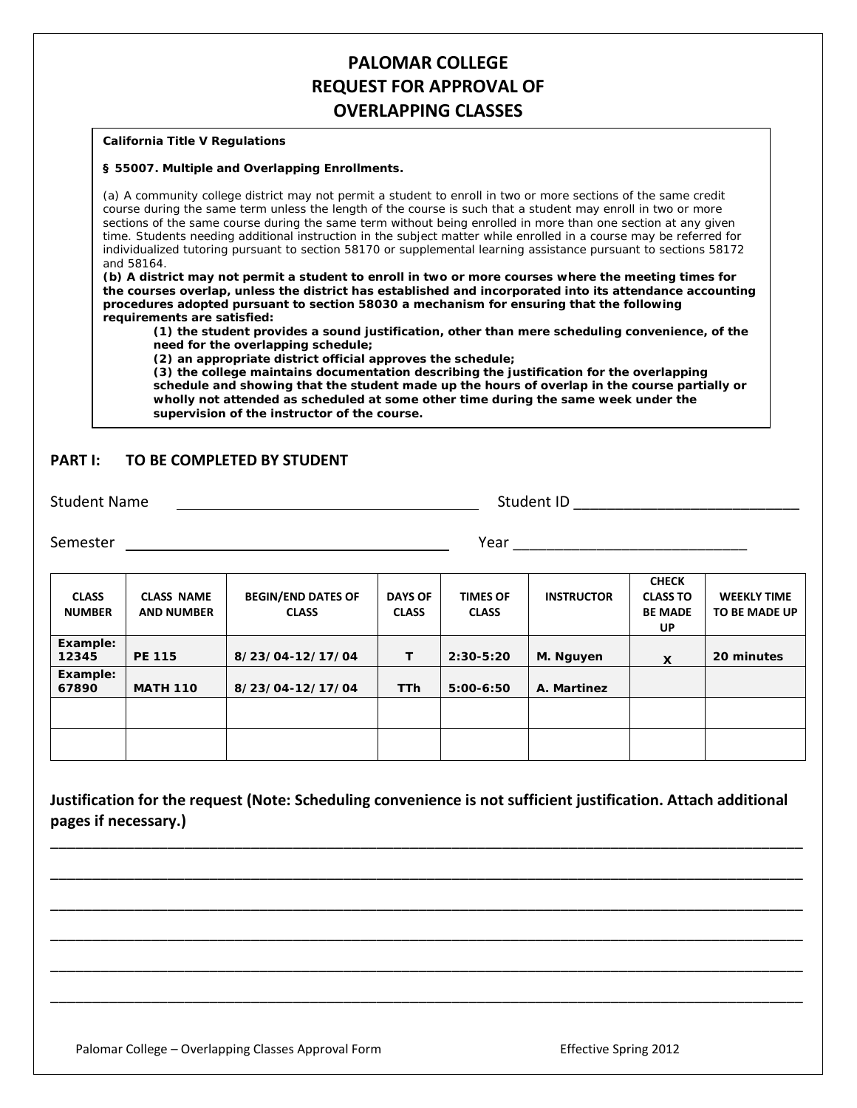# **PALOMAR COLLEGE REQUEST FOR APPROVAL OF OVERLAPPING CLASSES**

#### **California Title V Regulations**

#### **§ 55007. Multiple and Overlapping Enrollments.**

(a) A community college district may not permit a student to enroll in two or more sections of the same credit course during the same term unless the length of the course is such that a student may enroll in two or more sections of the same course during the same term without being enrolled in more than one section at any given time. Students needing additional instruction in the subject matter while enrolled in a course may be referred for individualized tutoring pursuant to section 58170 or supplemental learning assistance pursuant to sections 58172 and 58164.

**(b) A district may not permit a student to enroll in two or more courses where the meeting times for the courses overlap, unless the district has established and incorporated into its attendance accounting procedures adopted pursuant to section 58030 a mechanism for ensuring that the following requirements are satisfied:**

**(1) the student provides a sound justification, other than mere scheduling convenience, of the need for the overlapping schedule;**

**(2) an appropriate district official approves the schedule;**

**(3) the college maintains documentation describing the justification for the overlapping schedule and showing that the student made up the hours of overlap in the course partially or wholly not attended as scheduled at some other time during the same week under the supervision of the instructor of the course.**

### **PART I: TO BE COMPLETED BY STUDENT**

Student Name Student ID \_\_\_\_\_\_\_\_\_\_\_\_\_\_\_\_\_\_\_\_\_\_\_\_\_\_\_

Semester The Community of the Community of the Community of the Community of the Community of the Community of the Community of the Community of the Community of the Community of the Community of the Community of the Commu

| <b>CLASS</b><br><b>NUMBER</b> | <b>CLASS NAME</b><br><b>AND NUMBER</b> | <b>BEGIN/END DATES OF</b><br><b>CLASS</b> | <b>DAYS OF</b><br><b>CLASS</b> | <b>TIMES OF</b><br><b>CLASS</b> | <b>INSTRUCTOR</b> | <b>CHECK</b><br><b>CLASS TO</b><br><b>BE MADE</b><br>UP | <b>WEEKLY TIME</b><br><b>TO BE MADE UP</b> |
|-------------------------------|----------------------------------------|-------------------------------------------|--------------------------------|---------------------------------|-------------------|---------------------------------------------------------|--------------------------------------------|
| Example:<br>12345             | <b>PE 115</b>                          | 8/23/04-12/17/04                          | т                              | $2:30-5:20$                     | M. Nguyen         | X                                                       | 20 minutes                                 |
| Example:<br>67890             | <b>MATH 110</b>                        | 8/23/04-12/17/04                          | <b>TTh</b>                     | $5:00-6:50$                     | A. Martinez       |                                                         |                                            |
|                               |                                        |                                           |                                |                                 |                   |                                                         |                                            |
|                               |                                        |                                           |                                |                                 |                   |                                                         |                                            |

**Justification for the request (Note: Scheduling convenience is not sufficient justification. Attach additional pages if necessary.)**

\_\_\_\_\_\_\_\_\_\_\_\_\_\_\_\_\_\_\_\_\_\_\_\_\_\_\_\_\_\_\_\_\_\_\_\_\_\_\_\_\_\_\_\_\_\_\_\_\_\_\_\_\_\_\_\_\_\_\_\_\_\_\_\_\_\_\_\_\_\_\_\_\_\_\_\_\_\_\_\_\_\_\_\_\_\_\_\_\_\_

\_\_\_\_\_\_\_\_\_\_\_\_\_\_\_\_\_\_\_\_\_\_\_\_\_\_\_\_\_\_\_\_\_\_\_\_\_\_\_\_\_\_\_\_\_\_\_\_\_\_\_\_\_\_\_\_\_\_\_\_\_\_\_\_\_\_\_\_\_\_\_\_\_\_\_\_\_\_\_\_\_\_\_\_\_\_\_\_\_\_

\_\_\_\_\_\_\_\_\_\_\_\_\_\_\_\_\_\_\_\_\_\_\_\_\_\_\_\_\_\_\_\_\_\_\_\_\_\_\_\_\_\_\_\_\_\_\_\_\_\_\_\_\_\_\_\_\_\_\_\_\_\_\_\_\_\_\_\_\_\_\_\_\_\_\_\_\_\_\_\_\_\_\_\_\_\_\_\_\_\_

\_\_\_\_\_\_\_\_\_\_\_\_\_\_\_\_\_\_\_\_\_\_\_\_\_\_\_\_\_\_\_\_\_\_\_\_\_\_\_\_\_\_\_\_\_\_\_\_\_\_\_\_\_\_\_\_\_\_\_\_\_\_\_\_\_\_\_\_\_\_\_\_\_\_\_\_\_\_\_\_\_\_\_\_\_\_\_\_\_\_

\_\_\_\_\_\_\_\_\_\_\_\_\_\_\_\_\_\_\_\_\_\_\_\_\_\_\_\_\_\_\_\_\_\_\_\_\_\_\_\_\_\_\_\_\_\_\_\_\_\_\_\_\_\_\_\_\_\_\_\_\_\_\_\_\_\_\_\_\_\_\_\_\_\_\_\_\_\_\_\_\_\_\_\_\_\_\_\_\_\_

\_\_\_\_\_\_\_\_\_\_\_\_\_\_\_\_\_\_\_\_\_\_\_\_\_\_\_\_\_\_\_\_\_\_\_\_\_\_\_\_\_\_\_\_\_\_\_\_\_\_\_\_\_\_\_\_\_\_\_\_\_\_\_\_\_\_\_\_\_\_\_\_\_\_\_\_\_\_\_\_\_\_\_\_\_\_\_\_\_\_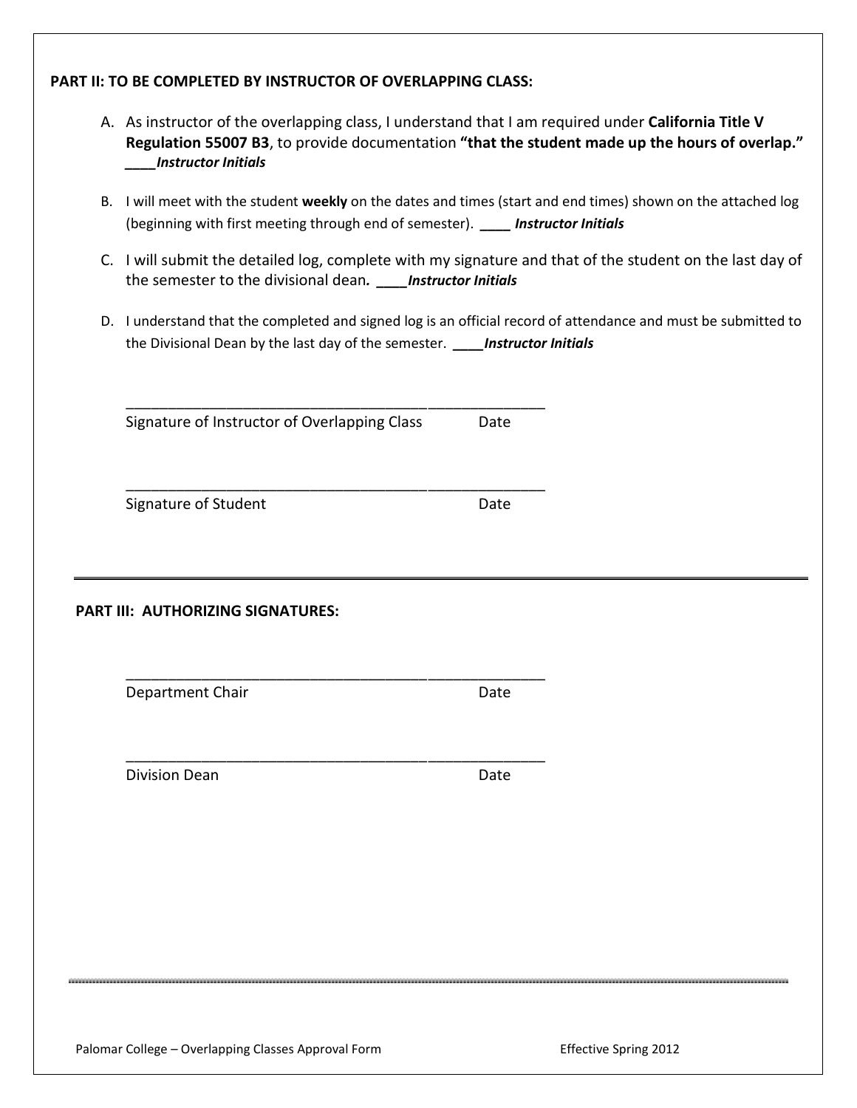## **PART II: TO BE COMPLETED BY INSTRUCTOR OF OVERLAPPING CLASS:**

- A. As instructor of the overlapping class, I understand that I am required under **California Title V Regulation 55007 B3**, to provide documentation **"that the student made up the hours of overlap."** *\_\_\_\_Instructor Initials*
- B. I will meet with the student **weekly** on the dates and times (start and end times) shown on the attached log (beginning with first meeting through end of semester). *\_\_\_\_ Instructor Initials*
- C. I will submit the detailed log, complete with my signature and that of the student on the last day of the semester to the divisional dean*. \_\_\_\_Instructor Initials*
- D. I understand that the completed and signed log is an official record of attendance and must be submitted to the Divisional Dean by the last day of the semester. *\_\_\_\_Instructor Initials*

Signature of Instructor of Overlapping Class Date

\_\_\_\_\_\_\_\_\_\_\_\_\_\_\_\_\_\_\_\_\_\_\_\_\_\_\_\_\_\_\_\_\_\_\_\_\_\_\_\_\_\_\_\_\_\_\_\_\_\_

\_\_\_\_\_\_\_\_\_\_\_\_\_\_\_\_\_\_\_\_\_\_\_\_\_\_\_\_\_\_\_\_\_\_\_\_\_\_\_\_\_\_\_\_\_\_\_\_\_\_

\_\_\_\_\_\_\_\_\_\_\_\_\_\_\_\_\_\_\_\_\_\_\_\_\_\_\_\_\_\_\_\_\_\_\_\_\_\_\_\_\_\_\_\_\_\_\_\_\_\_

\_\_\_\_\_\_\_\_\_\_\_\_\_\_\_\_\_\_\_\_\_\_\_\_\_\_\_\_\_\_\_\_\_\_\_\_\_\_\_\_\_\_\_\_\_\_\_\_\_\_

Signature of Student **Date** 

**PART III: AUTHORIZING SIGNATURES:**

Department Chair **Date** Date

Division Dean **Date** Date **Date** 

Palomar College – Overlapping Classes Approval Form Francisco College – Overlapping Costs Approval Form Francisco